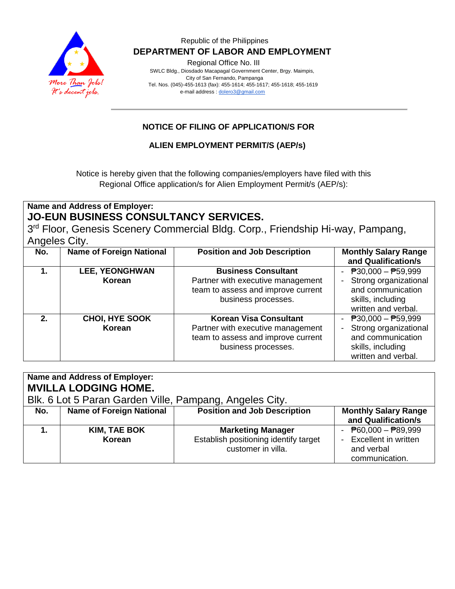

Regional Office No. III

 SWLC Bldg., Diosdado Macapagal Government Center, Brgy. Maimpis, City of San Fernando, Pampanga Tel. Nos. (045)-455-1613 (fax): 455-1614; 455-1617; 455-1618; 455-1619 e-mail address [: dolero3@gmail.com](mailto:dolero3@gmail.com)

# **NOTICE OF FILING OF APPLICATION/S FOR**

## **ALIEN EMPLOYMENT PERMIT/S (AEP/s)**

Notice is hereby given that the following companies/employers have filed with this Regional Office application/s for Alien Employment Permit/s (AEP/s):

## **Name and Address of Employer: JO-EUN BUSINESS CONSULTANCY SERVICES.**

3<sup>rd</sup> Floor, Genesis Scenery Commercial Bldg. Corp., Friendship Hi-way, Pampang, Angeles City.

| No. | <b>Name of Foreign National</b> | <b>Position and Job Description</b>                                                                                             | <b>Monthly Salary Range</b><br>and Qualification/s                                                              |
|-----|---------------------------------|---------------------------------------------------------------------------------------------------------------------------------|-----------------------------------------------------------------------------------------------------------------|
|     | <b>LEE, YEONGHWAN</b><br>Korean | <b>Business Consultant</b><br>Partner with executive management<br>team to assess and improve current<br>business processes.    | - $P30,000 - P59,999$<br>Strong organizational<br>and communication<br>skills, including<br>written and verbal. |
| 2.  | <b>CHOI, HYE SOOK</b><br>Korean | <b>Korean Visa Consultant</b><br>Partner with executive management<br>team to assess and improve current<br>business processes. | - $P30,000 - P59,999$<br>Strong organizational<br>and communication<br>skills, including<br>written and verbal. |

| Name and Address of Employer:<br><b>MVILLA LODGING HOME.</b><br>Blk. 6 Lot 5 Paran Garden Ville, Pampang, Angeles City. |                                 |                                                                                         |                                                                                                     |  |
|-------------------------------------------------------------------------------------------------------------------------|---------------------------------|-----------------------------------------------------------------------------------------|-----------------------------------------------------------------------------------------------------|--|
| No.                                                                                                                     | <b>Name of Foreign National</b> | <b>Position and Job Description</b>                                                     | <b>Monthly Salary Range</b><br>and Qualification/s                                                  |  |
|                                                                                                                         | <b>KIM, TAE BOK</b><br>Korean   | <b>Marketing Manager</b><br>Establish positioning identify target<br>customer in villa. | - $\overline{P}60,000 - \overline{P}89,999$<br>Excellent in written<br>and verbal<br>communication. |  |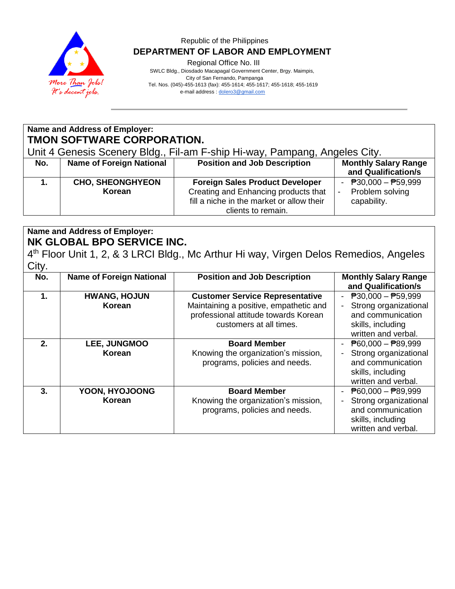

Regional Office No. III

 SWLC Bldg., Diosdado Macapagal Government Center, Brgy. Maimpis, City of San Fernando, Pampanga Tel. Nos. (045)-455-1613 (fax): 455-1614; 455-1617; 455-1618; 455-1619 e-mail address [: dolero3@gmail.com](mailto:dolero3@gmail.com)

**Name and Address of Employer: TMON SOFTWARE CORPORATION.**

Unit 4 Genesis Scenery Bldg., Fil-am F-ship Hi-way, Pampang, Angeles City.

| No. | <b>Name of Foreign National</b>   | <b>Position and Job Description</b>                                                                                                               | <b>Monthly Salary Range</b><br>and Qualification/s      |
|-----|-----------------------------------|---------------------------------------------------------------------------------------------------------------------------------------------------|---------------------------------------------------------|
|     | <b>CHO, SHEONGHYEON</b><br>Korean | <b>Foreign Sales Product Developer</b><br>Creating and Enhancing products that<br>fill a niche in the market or allow their<br>clients to remain. | - $P30,000 - P59,999$<br>Problem solving<br>capability. |

## **Name and Address of Employer: NK GLOBAL BPO SERVICE INC.**

4<sup>th</sup> Floor Unit 1, 2, & 3 LRCI Bldg., Mc Arthur Hi way, Virgen Delos Remedios, Angeles **City** 

| No. | <b>Name of Foreign National</b>      | <b>Position and Job Description</b>                                                                                                                 | <b>Monthly Salary Range</b><br>and Qualification/s                                                                                  |
|-----|--------------------------------------|-----------------------------------------------------------------------------------------------------------------------------------------------------|-------------------------------------------------------------------------------------------------------------------------------------|
| 1.  | <b>HWANG, HOJUN</b><br><b>Korean</b> | <b>Customer Service Representative</b><br>Maintaining a positive, empathetic and<br>professional attitude towards Korean<br>customers at all times. | $\overline{P}30,000 - \overline{P}59,999$<br>Strong organizational<br>and communication<br>skills, including<br>written and verbal. |
| 2.  | LEE, JUNGMOO<br><b>Korean</b>        | <b>Board Member</b><br>Knowing the organization's mission,<br>programs, policies and needs.                                                         | $\overline{P}60,000 - \overline{P}89,999$<br>Strong organizational<br>and communication<br>skills, including<br>written and verbal. |
| 3.  | YOON, HYOJOONG<br><b>Korean</b>      | <b>Board Member</b><br>Knowing the organization's mission,<br>programs, policies and needs.                                                         | $\overline{P}60,000 - \overline{P}89,999$<br>Strong organizational<br>and communication<br>skills, including<br>written and verbal. |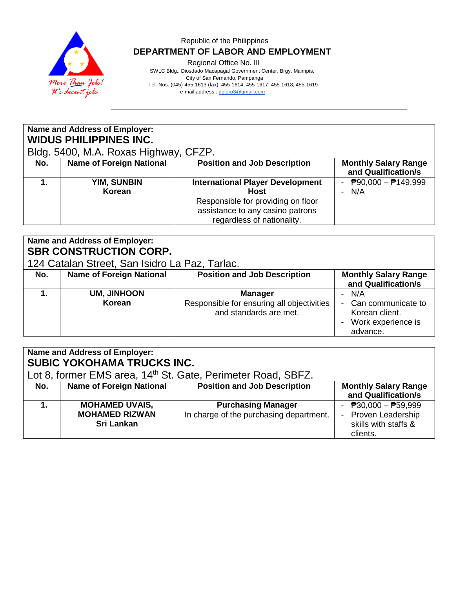

Regional Office No. III

 SWLC Bldg., Diosdado Macapagal Government Center, Brgy. Maimpis, City of San Fernando, Pampanga Tel. Nos. (045)-455-1613 (fax): 455-1614; 455-1617; 455-1618; 455-1619 e-mail address [: dolero3@gmail.com](mailto:dolero3@gmail.com)

| Name and Address of Employer:<br><b>WIDUS PHILIPPINES INC.</b><br>Bldg. 5400, M.A. Roxas Highway, CFZP. |                                 |                                                                                                                                                                |                                                       |  |
|---------------------------------------------------------------------------------------------------------|---------------------------------|----------------------------------------------------------------------------------------------------------------------------------------------------------------|-------------------------------------------------------|--|
| No.                                                                                                     | <b>Name of Foreign National</b> | <b>Position and Job Description</b>                                                                                                                            | <b>Monthly Salary Range</b><br>and Qualification/s    |  |
|                                                                                                         | <b>YIM, SUNBIN</b><br>Korean    | <b>International Player Development</b><br><b>Host</b><br>Responsible for providing on floor<br>assistance to any casino patrons<br>regardless of nationality. | $\overline{P}90,000 - \overline{P}149,999$<br>$- N/A$ |  |

| Name and Address of Employer:<br><b>SBR CONSTRUCTION CORP.</b><br>124 Catalan Street, San Isidro La Paz, Tarlac. |                                 |                                                                                        |                                                                                   |  |
|------------------------------------------------------------------------------------------------------------------|---------------------------------|----------------------------------------------------------------------------------------|-----------------------------------------------------------------------------------|--|
| No.                                                                                                              | <b>Name of Foreign National</b> | <b>Position and Job Description</b>                                                    | <b>Monthly Salary Range</b><br>and Qualification/s                                |  |
|                                                                                                                  | <b>UM, JINHOON</b><br>Korean    | <b>Manager</b><br>Responsible for ensuring all objectivities<br>and standards are met. | - N/A<br>- Can communicate to<br>Korean client.<br>Work experience is<br>advance. |  |

| Name and Address of Employer:<br><b>SUBIC YOKOHAMA TRUCKS INC.</b><br>Lot 8, former EMS area, 14 <sup>th</sup> St. Gate, Perimeter Road, SBFZ. |                                                                     |                                                                      |                                                                                  |  |
|------------------------------------------------------------------------------------------------------------------------------------------------|---------------------------------------------------------------------|----------------------------------------------------------------------|----------------------------------------------------------------------------------|--|
| No.                                                                                                                                            | <b>Name of Foreign National</b>                                     | <b>Position and Job Description</b>                                  | <b>Monthly Salary Range</b><br>and Qualification/s                               |  |
|                                                                                                                                                | <b>MOHAMED UVAIS,</b><br><b>MOHAMED RIZWAN</b><br><b>Sri Lankan</b> | <b>Purchasing Manager</b><br>In charge of the purchasing department. | - $P30,000 - P59,999$<br>- Proven Leadership<br>skills with staffs &<br>clients. |  |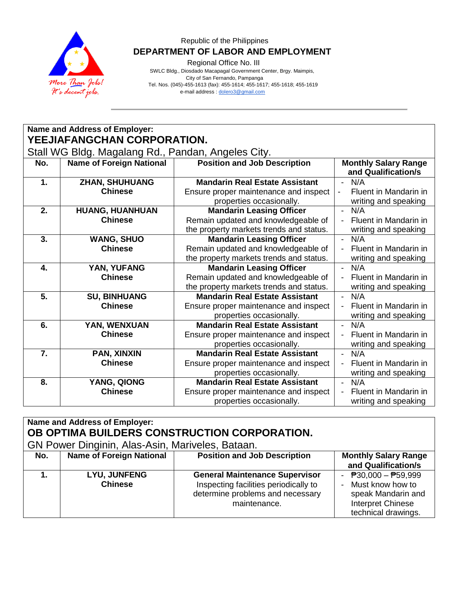

Regional Office No. III

 SWLC Bldg., Diosdado Macapagal Government Center, Brgy. Maimpis, City of San Fernando, Pampanga Tel. Nos. (045)-455-1613 (fax): 455-1614; 455-1617; 455-1618; 455-1619 e-mail address [: dolero3@gmail.com](mailto:dolero3@gmail.com)

|                  | Name and Address of Employer:                      |                                         |                                                       |  |  |
|------------------|----------------------------------------------------|-----------------------------------------|-------------------------------------------------------|--|--|
|                  | YEEJIAFANGCHAN CORPORATION.                        |                                         |                                                       |  |  |
|                  | Stall WG Bldg. Magalang Rd., Pandan, Angeles City. |                                         |                                                       |  |  |
| No.              | <b>Name of Foreign National</b>                    | <b>Position and Job Description</b>     | <b>Monthly Salary Range</b>                           |  |  |
|                  |                                                    |                                         | and Qualification/s                                   |  |  |
| 1.               | <b>ZHAN, SHUHUANG</b>                              | <b>Mandarin Real Estate Assistant</b>   | $- N/A$                                               |  |  |
|                  | <b>Chinese</b>                                     | Ensure proper maintenance and inspect   | Fluent in Mandarin in<br>$\qquad \qquad \blacksquare$ |  |  |
|                  |                                                    | properties occasionally.                | writing and speaking                                  |  |  |
| 2.               | HUANG, HUANHUAN                                    | <b>Mandarin Leasing Officer</b>         | N/A<br>$\mathcal{L}^{\pm}$                            |  |  |
|                  | <b>Chinese</b>                                     | Remain updated and knowledgeable of     | Fluent in Mandarin in<br>$\blacksquare$               |  |  |
|                  |                                                    | the property markets trends and status. | writing and speaking                                  |  |  |
| 3.               | <b>WANG, SHUO</b>                                  | <b>Mandarin Leasing Officer</b>         | N/A<br>$\sim$                                         |  |  |
|                  | <b>Chinese</b>                                     | Remain updated and knowledgeable of     | Fluent in Mandarin in<br>$\blacksquare$               |  |  |
|                  |                                                    | the property markets trends and status. | writing and speaking                                  |  |  |
| $\overline{4}$ . | YAN, YUFANG                                        | <b>Mandarin Leasing Officer</b>         | $\omega_{\rm{eff}}$<br>N/A                            |  |  |
|                  | <b>Chinese</b>                                     | Remain updated and knowledgeable of     | Fluent in Mandarin in<br>$\blacksquare$               |  |  |
|                  |                                                    | the property markets trends and status. | writing and speaking                                  |  |  |
| 5.               | <b>SU, BINHUANG</b>                                | <b>Mandarin Real Estate Assistant</b>   | N/A<br>$\sim$                                         |  |  |
|                  | <b>Chinese</b>                                     | Ensure proper maintenance and inspect   | Fluent in Mandarin in<br>$\blacksquare$               |  |  |
|                  |                                                    | properties occasionally.                | writing and speaking                                  |  |  |
| 6.               | YAN, WENXUAN                                       | <b>Mandarin Real Estate Assistant</b>   | N/A<br>$\blacksquare$                                 |  |  |
|                  | <b>Chinese</b>                                     | Ensure proper maintenance and inspect   | Fluent in Mandarin in<br>$\blacksquare$               |  |  |
|                  |                                                    | properties occasionally.                | writing and speaking                                  |  |  |
| 7.               | PAN, XINXIN                                        | <b>Mandarin Real Estate Assistant</b>   | N/A<br>$\sim$                                         |  |  |
|                  | <b>Chinese</b>                                     | Ensure proper maintenance and inspect   | Fluent in Mandarin in                                 |  |  |
|                  |                                                    | properties occasionally.                | writing and speaking                                  |  |  |
| 8.               | YANG, QIONG                                        | <b>Mandarin Real Estate Assistant</b>   | N/A<br>$\blacksquare$                                 |  |  |
|                  | <b>Chinese</b>                                     | Ensure proper maintenance and inspect   | Fluent in Mandarin in<br>$\overline{\phantom{a}}$     |  |  |
|                  |                                                    | properties occasionally.                | writing and speaking                                  |  |  |

#### **Name and Address of Employer: OB OPTIMA BUILDERS CONSTRUCTION CORPORATION.** GN Power Dinginin, Alas-Asin, Mariveles, Bataan.<br>No. | Name of Foreign National | Position and Jo **No. Name of Foreign National Position and Job Description | Monthly Salary Range and Qualification/s 1. LYU, JUNFENG Chinese General Maintenance Supervisor** Inspecting facilities periodically to determine problems and necessary maintenance.  $-$   $\overline{P}30,000 - \overline{P}59,999$ - Must know how to speak Mandarin and Interpret Chinese technical drawings.